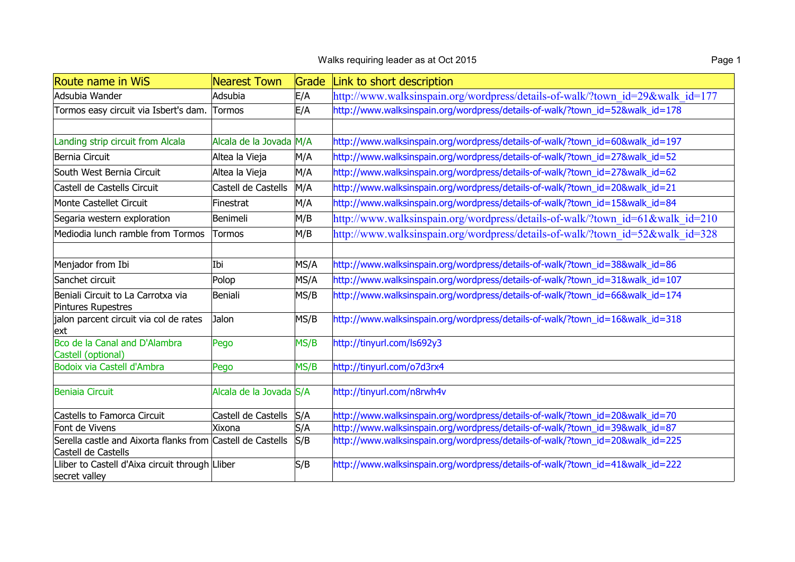| Route name in WiS                                                                 | <b>Nearest Town</b>     | Grade | Link to short description                                                     |
|-----------------------------------------------------------------------------------|-------------------------|-------|-------------------------------------------------------------------------------|
| Adsubia Wander                                                                    | Adsubia                 | E/A   | http://www.walksinspain.org/wordpress/details-of-walk/?town_id=29&walk_id=177 |
| Tormos easy circuit via Isbert's dam.                                             | Tormos                  | E/A   | http://www.walksinspain.org/wordpress/details-of-walk/?town_id=52&walk_id=178 |
|                                                                                   |                         |       |                                                                               |
| Landing strip circuit from Alcala                                                 | Alcala de la Jovada M/A |       | http://www.walksinspain.org/wordpress/details-of-walk/?town_id=60&walk_id=197 |
| Bernia Circuit                                                                    | Altea la Vieja          | M/A   | http://www.walksinspain.org/wordpress/details-of-walk/?town_id=27&walk_id=52  |
| South West Bernia Circuit                                                         | Altea la Vieja          | M/A   | http://www.walksinspain.org/wordpress/details-of-walk/?town_id=27&walk_id=62  |
| Castell de Castells Circuit                                                       | Castell de Castells     | M/A   | http://www.walksinspain.org/wordpress/details-of-walk/?town_id=20&walk_id=21  |
| Monte Castellet Circuit                                                           | Finestrat               | M/A   | http://www.walksinspain.org/wordpress/details-of-walk/?town_id=15&walk_id=84  |
| Segaria western exploration                                                       | Benimeli                | M/B   | http://www.walksinspain.org/wordpress/details-of-walk/?town_id=61&walk_id=210 |
| Mediodia lunch ramble from Tormos                                                 | Tormos                  | M/B   | http://www.walksinspain.org/wordpress/details-of-walk/?town_id=52&walk_id=328 |
|                                                                                   |                         |       |                                                                               |
| Menjador from Ibi                                                                 | Ibi                     | MS/A  | http://www.walksinspain.org/wordpress/details-of-walk/?town_id=38&walk_id=86  |
| Sanchet circuit                                                                   | Polop                   | MS/A  | http://www.walksinspain.org/wordpress/details-of-walk/?town_id=31&walk_id=107 |
| Beniali Circuit to La Carrotxa via<br>Pintures Rupestres                          | Beniali                 | MS/B  | http://www.walksinspain.org/wordpress/details-of-walk/?town_id=66&walk_id=174 |
| jalon parcent circuit via col de rates<br>ext                                     | Jalon                   | MS/B  | http://www.walksinspain.org/wordpress/details-of-walk/?town_id=16&walk_id=318 |
| Bco de la Canal and D'Alambra<br>Castell (optional)                               | Pego                    | MS/B  | http://tinyurl.com/ls692y3                                                    |
| Bodoix via Castell d'Ambra                                                        | Pego                    | MS/B  | http://tinyurl.com/o7d3rx4                                                    |
| <b>Beniaia Circuit</b>                                                            | Alcala de la Jovada S/A |       | http://tinyurl.com/n8rwh4v                                                    |
| Castells to Famorca Circuit                                                       | Castell de Castells     | S/A   | http://www.walksinspain.org/wordpress/details-of-walk/?town_id=20&walk_id=70  |
| Font de Vivens                                                                    | Xixona                  | S/A   | http://www.walksinspain.org/wordpress/details-of-walk/?town_id=39&walk_id=87  |
| Serella castle and Aixorta flanks from Castell de Castells<br>Castell de Castells |                         | S/B   | http://www.walksinspain.org/wordpress/details-of-walk/?town_id=20&walk_id=225 |
| Lliber to Castell d'Aixa circuit through Lliber<br>secret valley                  |                         | S/B   | http://www.walksinspain.org/wordpress/details-of-walk/?town_id=41&walk_id=222 |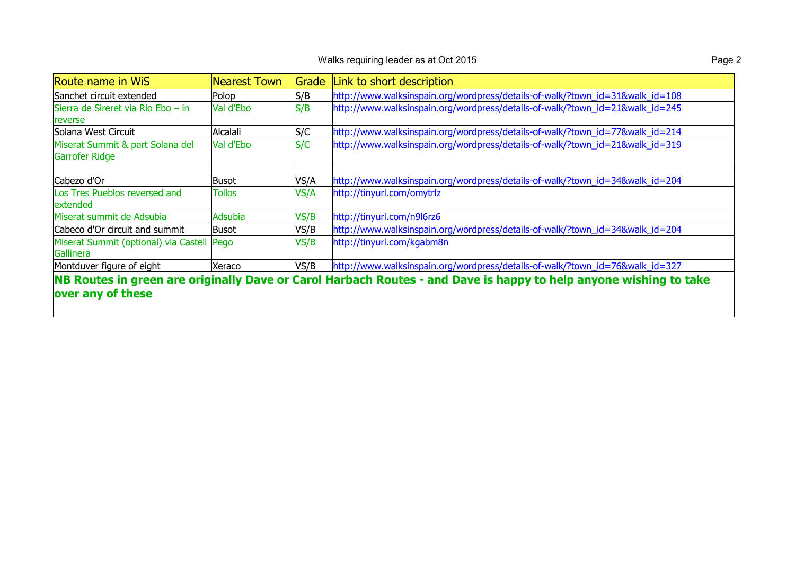| <b>Route name in WiS</b>                                                                                                               | Nearest Town  | Grade | Link to short description                                                     |  |  |
|----------------------------------------------------------------------------------------------------------------------------------------|---------------|-------|-------------------------------------------------------------------------------|--|--|
| Sanchet circuit extended                                                                                                               | Polop         | S/B   | http://www.walksinspain.org/wordpress/details-of-walk/?town_id=31&walk_id=108 |  |  |
| Sierra de Sireret via Rio Ebo - in<br>reverse                                                                                          | Val d'Ebo     | S/B   | http://www.walksinspain.org/wordpress/details-of-walk/?town_id=21&walk_id=245 |  |  |
| Solana West Circuit                                                                                                                    | Alcalali      | S/C   | http://www.walksinspain.org/wordpress/details-of-walk/?town_id=77&walk_id=214 |  |  |
| Miserat Summit & part Solana del<br>Garrofer Ridge                                                                                     | Val d'Ebo     | S/C   | http://www.walksinspain.org/wordpress/details-of-walk/?town_id=21&walk_id=319 |  |  |
| Cabezo d'Or                                                                                                                            | Busot         | VS/A  | http://www.walksinspain.org/wordpress/details-of-walk/?town_id=34&walk_id=204 |  |  |
| Los Tres Pueblos reversed and<br>extended                                                                                              | Tollos        | VS/A  | http://tinyurl.com/omytrlz                                                    |  |  |
| Miserat summit de Adsubia                                                                                                              | Adsubia       | VS/B  | http://tinyurl.com/n9l6rz6                                                    |  |  |
| Cabeco d'Or circuit and summit                                                                                                         | <b>Busot</b>  | VS/B  | http://www.walksinspain.org/wordpress/details-of-walk/?town_id=34&walk_id=204 |  |  |
| Miserat Summit (optional) via Castell Pego<br>Gallinera                                                                                |               | VS/B  | http://tinyurl.com/kgabm8n                                                    |  |  |
| Montduver figure of eight                                                                                                              | <b>Xeraco</b> | VS/B  | http://www.walksinspain.org/wordpress/details-of-walk/?town_id=76&walk_id=327 |  |  |
| NB Routes in green are originally Dave or Carol Harbach Routes - and Dave is happy to help anyone wishing to take<br>over any of these |               |       |                                                                               |  |  |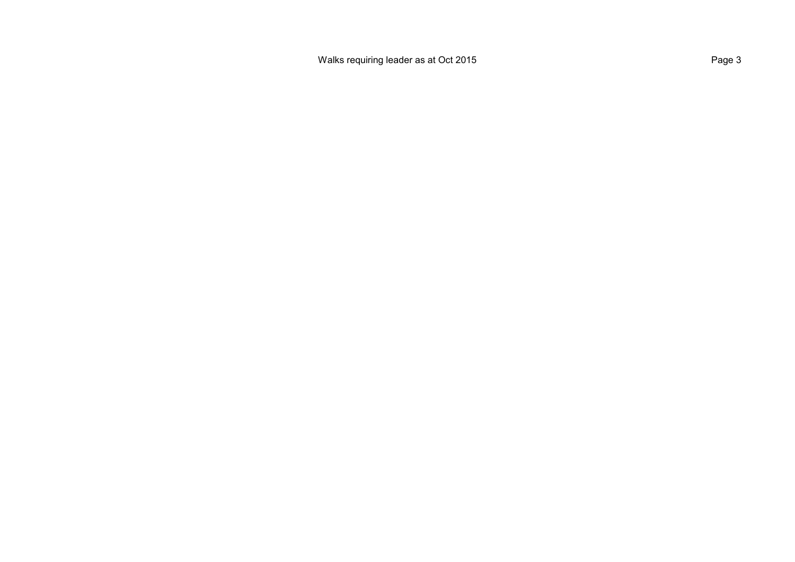Walks requiring leader as at Oct 2015 **Page 3** Page 3